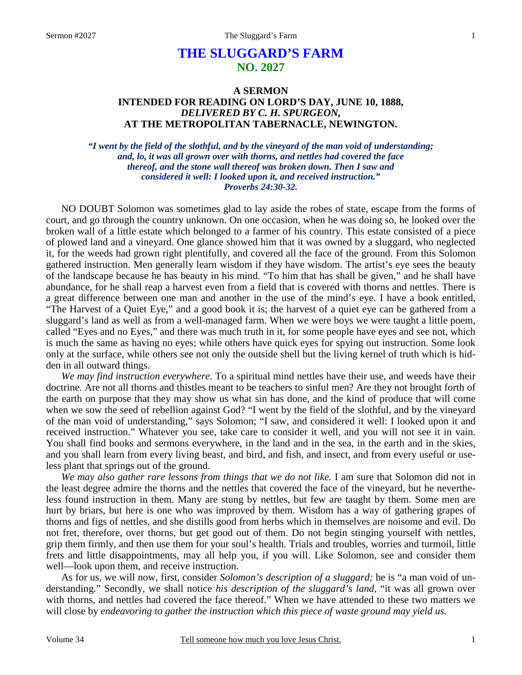# **THE SLUGGARD'S FARM NO. 2027**

### **A SERMON INTENDED FOR READING ON LORD'S DAY, JUNE 10, 1888,**  *DELIVERED BY C. H. SPURGEON,*  **AT THE METROPOLITAN TABERNACLE, NEWINGTON.**

*"I went by the field of the slothful, and by the vineyard of the man void of understanding; and, lo, it was all grown over with thorns, and nettles had covered the face thereof, and the stone wall thereof was broken down. Then I saw and considered it well: I looked upon it, and received instruction." Proverbs 24:30-32.* 

NO DOUBT Solomon was sometimes glad to lay aside the robes of state, escape from the forms of court, and go through the country unknown. On one occasion, when he was doing so, he looked over the broken wall of a little estate which belonged to a farmer of his country. This estate consisted of a piece of plowed land and a vineyard. One glance showed him that it was owned by a sluggard, who neglected it, for the weeds had grown right plentifully, and covered all the face of the ground. From this Solomon gathered instruction. Men generally learn wisdom if they have wisdom. The artist's eye sees the beauty of the landscape because he has beauty in his mind. "To him that has shall be given," and he shall have abundance, for he shall reap a harvest even from a field that is covered with thorns and nettles. There is a great difference between one man and another in the use of the mind's eye. I have a book entitled, "The Harvest of a Quiet Eye," and a good book it is; the harvest of a quiet eye can be gathered from a sluggard's land as well as from a well-managed farm. When we were boys we were taught a little poem, called "Eyes and no Eyes," and there was much truth in it, for some people have eyes and see not, which is much the same as having no eyes; while others have quick eyes for spying out instruction. Some look only at the surface, while others see not only the outside shell but the living kernel of truth which is hidden in all outward things.

*We may find instruction everywhere*. To a spiritual mind nettles have their use, and weeds have their doctrine. Are not all thorns and thistles meant to be teachers to sinful men? Are they not brought forth of the earth on purpose that they may show us what sin has done, and the kind of produce that will come when we sow the seed of rebellion against God? "I went by the field of the slothful, and by the vineyard of the man void of understanding," says Solomon; "I saw, and considered it well: I looked upon it and received instruction." Whatever you see, take care to consider it well, and you will not see it in vain. You shall find books and sermons everywhere, in the land and in the sea, in the earth and in the skies, and you shall learn from every living beast, and bird, and fish, and insect, and from every useful or useless plant that springs out of the ground.

*We may also gather rare lessons from things that we do not like.* I am sure that Solomon did not in the least degree admire the thorns and the nettles that covered the face of the vineyard, but he nevertheless found instruction in them. Many are stung by nettles, but few are taught by them. Some men are hurt by briars, but here is one who was improved by them. Wisdom has a way of gathering grapes of thorns and figs of nettles, and she distills good from herbs which in themselves are noisome and evil. Do not fret, therefore, over thorns, but get good out of them. Do not begin stinging yourself with nettles, grip them firmly, and then use them for your soul's health. Trials and troubles, worries and turmoil, little frets and little disappointments, may all help you, if you will. Like Solomon, see and consider them well—look upon them, and receive instruction.

As for us, we will now, first, consider *Solomon's description of a sluggard;* he is "a man void of understanding." Secondly, we shall notice *his description of the sluggard's land,* "it was all grown over with thorns, and nettles had covered the face thereof." When we have attended to these two matters we will close by *endeavoring to gather the instruction which this piece of waste ground may yield us.*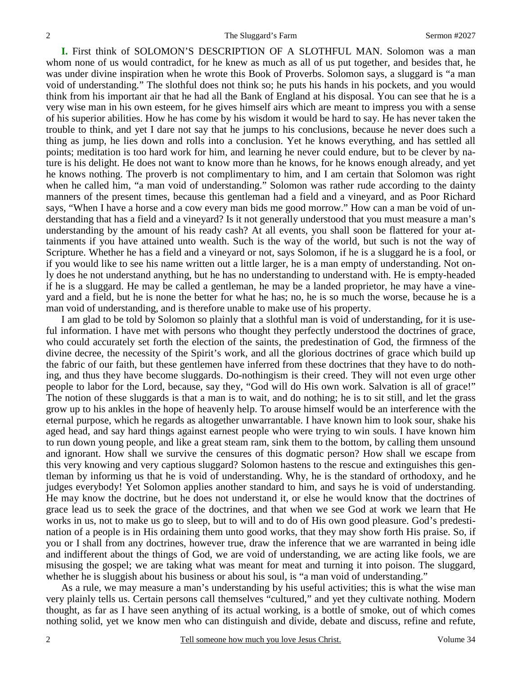**I.** First think of SOLOMON'S DESCRIPTION OF A SLOTHFUL MAN. Solomon was a man whom none of us would contradict, for he knew as much as all of us put together, and besides that, he was under divine inspiration when he wrote this Book of Proverbs. Solomon says, a sluggard is "a man void of understanding." The slothful does not think so; he puts his hands in his pockets, and you would think from his important air that he had all the Bank of England at his disposal. You can see that he is a very wise man in his own esteem, for he gives himself airs which are meant to impress you with a sense of his superior abilities. How he has come by his wisdom it would be hard to say. He has never taken the trouble to think, and yet I dare not say that he jumps to his conclusions, because he never does such a thing as jump, he lies down and rolls into a conclusion. Yet he knows everything, and has settled all points; meditation is too hard work for him, and learning he never could endure, but to be clever by nature is his delight. He does not want to know more than he knows, for he knows enough already, and yet he knows nothing. The proverb is not complimentary to him, and I am certain that Solomon was right when he called him, "a man void of understanding." Solomon was rather rude according to the dainty manners of the present times, because this gentleman had a field and a vineyard, and as Poor Richard says, "When I have a horse and a cow every man bids me good morrow." How can a man be void of understanding that has a field and a vineyard? Is it not generally understood that you must measure a man's understanding by the amount of his ready cash? At all events, you shall soon be flattered for your attainments if you have attained unto wealth. Such is the way of the world, but such is not the way of Scripture. Whether he has a field and a vineyard or not, says Solomon, if he is a sluggard he is a fool, or if you would like to see his name written out a little larger, he is a man empty of understanding. Not only does he not understand anything, but he has no understanding to understand with. He is empty-headed if he is a sluggard. He may be called a gentleman, he may be a landed proprietor, he may have a vineyard and a field, but he is none the better for what he has; no, he is so much the worse, because he is a man void of understanding, and is therefore unable to make use of his property.

I am glad to be told by Solomon so plainly that a slothful man is void of understanding, for it is useful information. I have met with persons who thought they perfectly understood the doctrines of grace, who could accurately set forth the election of the saints, the predestination of God, the firmness of the divine decree, the necessity of the Spirit's work, and all the glorious doctrines of grace which build up the fabric of our faith, but these gentlemen have inferred from these doctrines that they have to do nothing, and thus they have become sluggards. Do-nothingism is their creed. They will not even urge other people to labor for the Lord, because, say they, "God will do His own work. Salvation is all of grace!" The notion of these sluggards is that a man is to wait, and do nothing; he is to sit still, and let the grass grow up to his ankles in the hope of heavenly help. To arouse himself would be an interference with the eternal purpose, which he regards as altogether unwarrantable. I have known him to look sour, shake his aged head, and say hard things against earnest people who were trying to win souls. I have known him to run down young people, and like a great steam ram, sink them to the bottom, by calling them unsound and ignorant. How shall we survive the censures of this dogmatic person? How shall we escape from this very knowing and very captious sluggard? Solomon hastens to the rescue and extinguishes this gentleman by informing us that he is void of understanding. Why, he is the standard of orthodoxy, and he judges everybody! Yet Solomon applies another standard to him, and says he is void of understanding. He may know the doctrine, but he does not understand it, or else he would know that the doctrines of grace lead us to seek the grace of the doctrines, and that when we see God at work we learn that He works in us, not to make us go to sleep, but to will and to do of His own good pleasure. God's predestination of a people is in His ordaining them unto good works, that they may show forth His praise. So, if you or I shall from any doctrines, however true, draw the inference that we are warranted in being idle and indifferent about the things of God, we are void of understanding, we are acting like fools, we are misusing the gospel; we are taking what was meant for meat and turning it into poison. The sluggard, whether he is sluggish about his business or about his soul, is "a man void of understanding."

As a rule, we may measure a man's understanding by his useful activities; this is what the wise man very plainly tells us. Certain persons call themselves "cultured," and yet they cultivate nothing. Modern thought, as far as I have seen anything of its actual working, is a bottle of smoke, out of which comes nothing solid, yet we know men who can distinguish and divide, debate and discuss, refine and refute,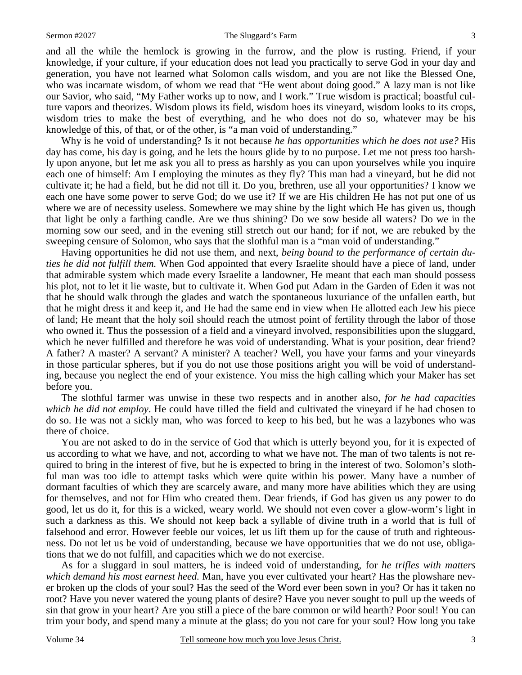#### Sermon #2027 The Sluggard's Farm

and all the while the hemlock is growing in the furrow, and the plow is rusting. Friend, if your knowledge, if your culture, if your education does not lead you practically to serve God in your day and generation, you have not learned what Solomon calls wisdom, and you are not like the Blessed One, who was incarnate wisdom, of whom we read that "He went about doing good." A lazy man is not like our Savior, who said, "My Father works up to now, and I work." True wisdom is practical; boastful culture vapors and theorizes. Wisdom plows its field, wisdom hoes its vineyard, wisdom looks to its crops, wisdom tries to make the best of everything, and he who does not do so, whatever may be his knowledge of this, of that, or of the other, is "a man void of understanding."

Why is he void of understanding? Is it not because *he has opportunities which he does not use?* His day has come, his day is going, and he lets the hours glide by to no purpose. Let me not press too harshly upon anyone, but let me ask you all to press as harshly as you can upon yourselves while you inquire each one of himself: Am I employing the minutes as they fly? This man had a vineyard, but he did not cultivate it; he had a field, but he did not till it. Do you, brethren, use all your opportunities? I know we each one have some power to serve God; do we use it? If we are His children He has not put one of us where we are of necessity useless. Somewhere we may shine by the light which He has given us, though that light be only a farthing candle. Are we thus shining? Do we sow beside all waters? Do we in the morning sow our seed, and in the evening still stretch out our hand; for if not, we are rebuked by the sweeping censure of Solomon, who says that the slothful man is a "man void of understanding."

Having opportunities he did not use them, and next, *being bound to the performance of certain duties he did not fulfill them.* When God appointed that every Israelite should have a piece of land, under that admirable system which made every Israelite a landowner, He meant that each man should possess his plot, not to let it lie waste, but to cultivate it. When God put Adam in the Garden of Eden it was not that he should walk through the glades and watch the spontaneous luxuriance of the unfallen earth, but that he might dress it and keep it, and He had the same end in view when He allotted each Jew his piece of land; He meant that the holy soil should reach the utmost point of fertility through the labor of those who owned it. Thus the possession of a field and a vineyard involved, responsibilities upon the sluggard, which he never fulfilled and therefore he was void of understanding. What is your position, dear friend? A father? A master? A servant? A minister? A teacher? Well, you have your farms and your vineyards in those particular spheres, but if you do not use those positions aright you will be void of understanding, because you neglect the end of your existence. You miss the high calling which your Maker has set before you.

The slothful farmer was unwise in these two respects and in another also, *for he had capacities which he did not employ*. He could have tilled the field and cultivated the vineyard if he had chosen to do so. He was not a sickly man, who was forced to keep to his bed, but he was a lazybones who was there of choice.

You are not asked to do in the service of God that which is utterly beyond you, for it is expected of us according to what we have, and not, according to what we have not. The man of two talents is not required to bring in the interest of five, but he is expected to bring in the interest of two. Solomon's slothful man was too idle to attempt tasks which were quite within his power. Many have a number of dormant faculties of which they are scarcely aware, and many more have abilities which they are using for themselves, and not for Him who created them. Dear friends, if God has given us any power to do good, let us do it, for this is a wicked, weary world. We should not even cover a glow-worm's light in such a darkness as this. We should not keep back a syllable of divine truth in a world that is full of falsehood and error. However feeble our voices, let us lift them up for the cause of truth and righteousness. Do not let us be void of understanding, because we have opportunities that we do not use, obligations that we do not fulfill, and capacities which we do not exercise.

As for a sluggard in soul matters, he is indeed void of understanding, for *he trifles with matters which demand his most earnest heed.* Man, have you ever cultivated your heart? Has the plowshare never broken up the clods of your soul? Has the seed of the Word ever been sown in you? Or has it taken no root? Have you never watered the young plants of desire? Have you never sought to pull up the weeds of sin that grow in your heart? Are you still a piece of the bare common or wild hearth? Poor soul! You can trim your body, and spend many a minute at the glass; do you not care for your soul? How long you take

3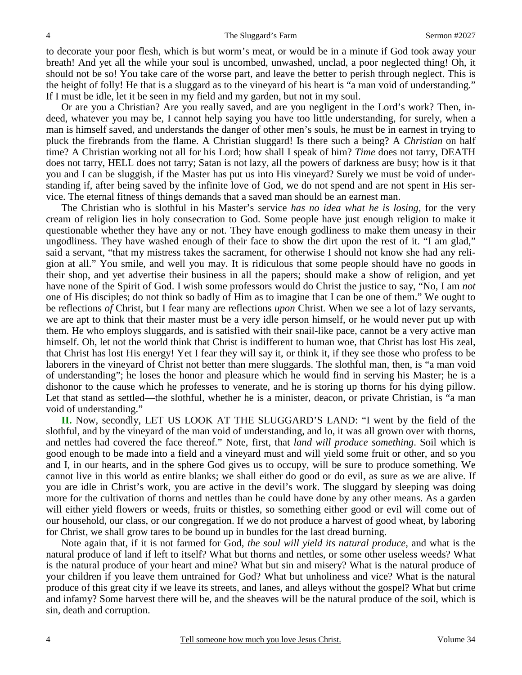to decorate your poor flesh, which is but worm's meat, or would be in a minute if God took away your breath! And yet all the while your soul is uncombed, unwashed, unclad, a poor neglected thing! Oh, it should not be so! You take care of the worse part, and leave the better to perish through neglect. This is the height of folly! He that is a sluggard as to the vineyard of his heart is "a man void of understanding." If I must be idle, let it be seen in my field and my garden, but not in my soul.

Or are you a Christian? Are you really saved, and are you negligent in the Lord's work? Then, indeed, whatever you may be, I cannot help saying you have too little understanding, for surely, when a man is himself saved, and understands the danger of other men's souls, he must be in earnest in trying to pluck the firebrands from the flame. A Christian sluggard! Is there such a being? A *Christian* on half time? A Christian working not all for his Lord; how shall I speak of him? *Time* does not tarry, DEATH does not tarry, HELL does not tarry; Satan is not lazy, all the powers of darkness are busy; how is it that you and I can be sluggish, if the Master has put us into His vineyard? Surely we must be void of understanding if, after being saved by the infinite love of God, we do not spend and are not spent in His service. The eternal fitness of things demands that a saved man should be an earnest man.

The Christian who is slothful in his Master's service *has no idea what he is losing,* for the very cream of religion lies in holy consecration to God. Some people have just enough religion to make it questionable whether they have any or not. They have enough godliness to make them uneasy in their ungodliness. They have washed enough of their face to show the dirt upon the rest of it. "I am glad," said a servant, "that my mistress takes the sacrament, for otherwise I should not know she had any religion at all." You smile, and well you may. It is ridiculous that some people should have no goods in their shop, and yet advertise their business in all the papers; should make a show of religion, and yet have none of the Spirit of God. I wish some professors would do Christ the justice to say, "No, I am *not* one of His disciples; do not think so badly of Him as to imagine that I can be one of them." We ought to be reflections *of* Christ, but I fear many are reflections *upon* Christ. When we see a lot of lazy servants, we are apt to think that their master must be a very idle person himself, or he would never put up with them. He who employs sluggards, and is satisfied with their snail-like pace, cannot be a very active man himself. Oh, let not the world think that Christ is indifferent to human woe, that Christ has lost His zeal, that Christ has lost His energy! Yet I fear they will say it, or think it, if they see those who profess to be laborers in the vineyard of Christ not better than mere sluggards. The slothful man, then, is "a man void of understanding"; he loses the honor and pleasure which he would find in serving his Master; he is a dishonor to the cause which he professes to venerate, and he is storing up thorns for his dying pillow. Let that stand as settled—the slothful, whether he is a minister, deacon, or private Christian, is "a man void of understanding."

**II.** Now, secondly, LET US LOOK AT THE SLUGGARD'S LAND: "I went by the field of the slothful, and by the vineyard of the man void of understanding, and lo, it was all grown over with thorns, and nettles had covered the face thereof." Note, first, that *land will produce something*. Soil which is good enough to be made into a field and a vineyard must and will yield some fruit or other, and so you and I, in our hearts, and in the sphere God gives us to occupy, will be sure to produce something. We cannot live in this world as entire blanks; we shall either do good or do evil, as sure as we are alive. If you are idle in Christ's work, you are active in the devil's work. The sluggard by sleeping was doing more for the cultivation of thorns and nettles than he could have done by any other means. As a garden will either yield flowers or weeds, fruits or thistles, so something either good or evil will come out of our household, our class, or our congregation. If we do not produce a harvest of good wheat, by laboring for Christ, we shall grow tares to be bound up in bundles for the last dread burning.

Note again that, if it is not farmed for God, *the soul will yield its natural produce,* and what is the natural produce of land if left to itself? What but thorns and nettles, or some other useless weeds? What is the natural produce of your heart and mine? What but sin and misery? What is the natural produce of your children if you leave them untrained for God? What but unholiness and vice? What is the natural produce of this great city if we leave its streets, and lanes, and alleys without the gospel? What but crime and infamy? Some harvest there will be, and the sheaves will be the natural produce of the soil, which is sin, death and corruption.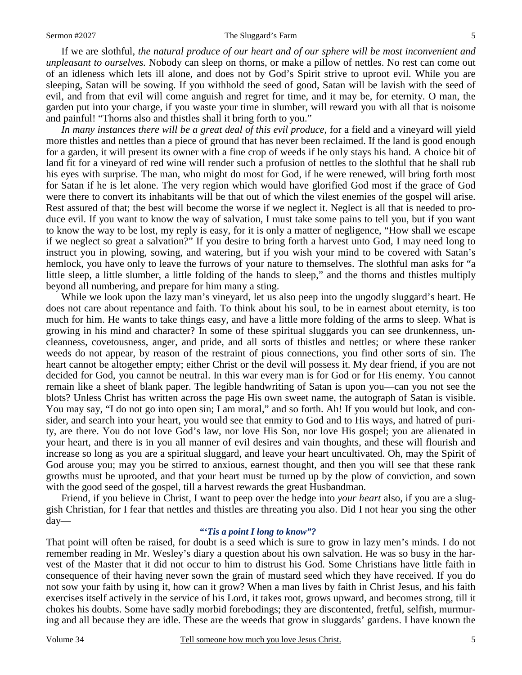#### Sermon #2027 The Sluggard's Farm

If we are slothful, *the natural produce of our heart and of our sphere will be most inconvenient and unpleasant to ourselves.* Nobody can sleep on thorns, or make a pillow of nettles. No rest can come out of an idleness which lets ill alone, and does not by God's Spirit strive to uproot evil. While you are sleeping, Satan will be sowing. If you withhold the seed of good, Satan will be lavish with the seed of evil, and from that evil will come anguish and regret for time, and it may be, for eternity. O man, the garden put into your charge, if you waste your time in slumber, will reward you with all that is noisome and painful! "Thorns also and thistles shall it bring forth to you."

*In many instances there will be a great deal of this evil produce,* for a field and a vineyard will yield more thistles and nettles than a piece of ground that has never been reclaimed. If the land is good enough for a garden, it will present its owner with a fine crop of weeds if he only stays his hand. A choice bit of land fit for a vineyard of red wine will render such a profusion of nettles to the slothful that he shall rub his eyes with surprise. The man, who might do most for God, if he were renewed, will bring forth most for Satan if he is let alone. The very region which would have glorified God most if the grace of God were there to convert its inhabitants will be that out of which the vilest enemies of the gospel will arise. Rest assured of that; the best will become the worse if we neglect it. Neglect is all that is needed to produce evil. If you want to know the way of salvation, I must take some pains to tell you, but if you want to know the way to be lost, my reply is easy, for it is only a matter of negligence, "How shall we escape if we neglect so great a salvation?" If you desire to bring forth a harvest unto God, I may need long to instruct you in plowing, sowing, and watering, but if you wish your mind to be covered with Satan's hemlock, you have only to leave the furrows of your nature to themselves. The slothful man asks for "a little sleep, a little slumber, a little folding of the hands to sleep," and the thorns and thistles multiply beyond all numbering, and prepare for him many a sting.

While we look upon the lazy man's vineyard, let us also peep into the ungodly sluggard's heart. He does not care about repentance and faith. To think about his soul, to be in earnest about eternity, is too much for him. He wants to take things easy, and have a little more folding of the arms to sleep. What is growing in his mind and character? In some of these spiritual sluggards you can see drunkenness, uncleanness, covetousness, anger, and pride, and all sorts of thistles and nettles; or where these ranker weeds do not appear, by reason of the restraint of pious connections, you find other sorts of sin. The heart cannot be altogether empty; either Christ or the devil will possess it. My dear friend, if you are not decided for God, you cannot be neutral. In this war every man is for God or for His enemy. You cannot remain like a sheet of blank paper. The legible handwriting of Satan is upon you—can you not see the blots? Unless Christ has written across the page His own sweet name, the autograph of Satan is visible. You may say, "I do not go into open sin; I am moral," and so forth. Ah! If you would but look, and consider, and search into your heart, you would see that enmity to God and to His ways, and hatred of purity, are there. You do not love God's law, nor love His Son, nor love His gospel; you are alienated in your heart, and there is in you all manner of evil desires and vain thoughts, and these will flourish and increase so long as you are a spiritual sluggard, and leave your heart uncultivated. Oh, may the Spirit of God arouse you; may you be stirred to anxious, earnest thought, and then you will see that these rank growths must be uprooted, and that your heart must be turned up by the plow of conviction, and sown with the good seed of the gospel, till a harvest rewards the great Husbandman.

Friend, if you believe in Christ, I want to peep over the hedge into *your heart* also, if you are a sluggish Christian, for I fear that nettles and thistles are threating you also. Did I not hear you sing the other day—

### *"'Tis a point I long to know"?*

That point will often be raised, for doubt is a seed which is sure to grow in lazy men's minds. I do not remember reading in Mr. Wesley's diary a question about his own salvation. He was so busy in the harvest of the Master that it did not occur to him to distrust his God. Some Christians have little faith in consequence of their having never sown the grain of mustard seed which they have received. If you do not sow your faith by using it, how can it grow? When a man lives by faith in Christ Jesus, and his faith exercises itself actively in the service of his Lord, it takes root, grows upward, and becomes strong, till it chokes his doubts. Some have sadly morbid forebodings; they are discontented, fretful, selfish, murmuring and all because they are idle. These are the weeds that grow in sluggards' gardens. I have known the

5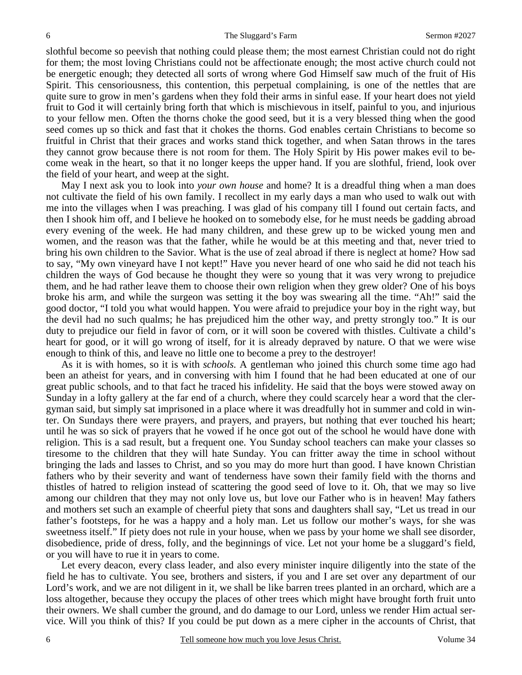slothful become so peevish that nothing could please them; the most earnest Christian could not do right for them; the most loving Christians could not be affectionate enough; the most active church could not be energetic enough; they detected all sorts of wrong where God Himself saw much of the fruit of His Spirit. This censoriousness, this contention, this perpetual complaining, is one of the nettles that are quite sure to grow in men's gardens when they fold their arms in sinful ease. If your heart does not yield fruit to God it will certainly bring forth that which is mischievous in itself, painful to you, and injurious to your fellow men. Often the thorns choke the good seed, but it is a very blessed thing when the good seed comes up so thick and fast that it chokes the thorns. God enables certain Christians to become so fruitful in Christ that their graces and works stand thick together, and when Satan throws in the tares they cannot grow because there is not room for them. The Holy Spirit by His power makes evil to become weak in the heart, so that it no longer keeps the upper hand. If you are slothful, friend, look over the field of your heart, and weep at the sight.

May I next ask you to look into *your own house* and home? It is a dreadful thing when a man does not cultivate the field of his own family. I recollect in my early days a man who used to walk out with me into the villages when I was preaching. I was glad of his company till I found out certain facts, and then I shook him off, and I believe he hooked on to somebody else, for he must needs be gadding abroad every evening of the week. He had many children, and these grew up to be wicked young men and women, and the reason was that the father, while he would be at this meeting and that, never tried to bring his own children to the Savior. What is the use of zeal abroad if there is neglect at home? How sad to say, "My own vineyard have I not kept!" Have you never heard of one who said he did not teach his children the ways of God because he thought they were so young that it was very wrong to prejudice them, and he had rather leave them to choose their own religion when they grew older? One of his boys broke his arm, and while the surgeon was setting it the boy was swearing all the time. "Ah!" said the good doctor, "I told you what would happen. You were afraid to prejudice your boy in the right way, but the devil had no such qualms; he has prejudiced him the other way, and pretty strongly too." It is our duty to prejudice our field in favor of corn, or it will soon be covered with thistles. Cultivate a child's heart for good, or it will go wrong of itself, for it is already depraved by nature. O that we were wise enough to think of this, and leave no little one to become a prey to the destroyer!

As it is with homes, so it is with *schools.* A gentleman who joined this church some time ago had been an atheist for years, and in conversing with him I found that he had been educated at one of our great public schools, and to that fact he traced his infidelity. He said that the boys were stowed away on Sunday in a lofty gallery at the far end of a church, where they could scarcely hear a word that the clergyman said, but simply sat imprisoned in a place where it was dreadfully hot in summer and cold in winter. On Sundays there were prayers, and prayers, and prayers, but nothing that ever touched his heart; until he was so sick of prayers that he vowed if he once got out of the school he would have done with religion. This is a sad result, but a frequent one. You Sunday school teachers can make your classes so tiresome to the children that they will hate Sunday. You can fritter away the time in school without bringing the lads and lasses to Christ, and so you may do more hurt than good. I have known Christian fathers who by their severity and want of tenderness have sown their family field with the thorns and thistles of hatred to religion instead of scattering the good seed of love to it. Oh, that we may so live among our children that they may not only love us, but love our Father who is in heaven! May fathers and mothers set such an example of cheerful piety that sons and daughters shall say, "Let us tread in our father's footsteps, for he was a happy and a holy man. Let us follow our mother's ways, for she was sweetness itself." If piety does not rule in your house, when we pass by your home we shall see disorder, disobedience, pride of dress, folly, and the beginnings of vice. Let not your home be a sluggard's field, or you will have to rue it in years to come.

Let every deacon, every class leader, and also every minister inquire diligently into the state of the field he has to cultivate. You see, brothers and sisters, if you and I are set over any department of our Lord's work, and we are not diligent in it, we shall be like barren trees planted in an orchard, which are a loss altogether, because they occupy the places of other trees which might have brought forth fruit unto their owners. We shall cumber the ground, and do damage to our Lord, unless we render Him actual service. Will you think of this? If you could be put down as a mere cipher in the accounts of Christ, that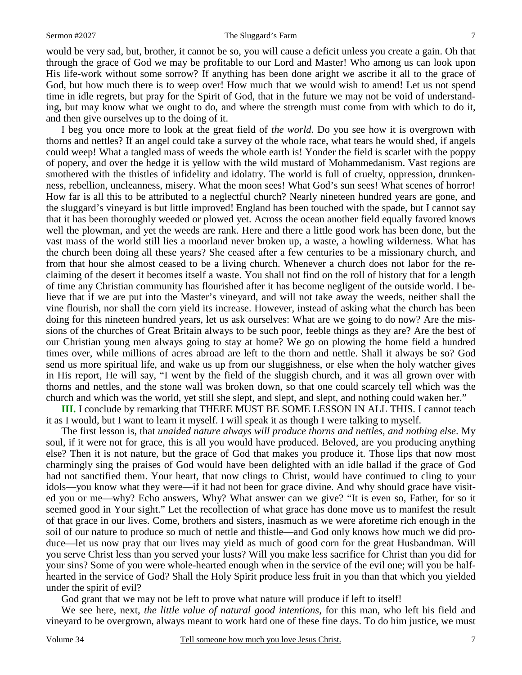would be very sad, but, brother, it cannot be so, you will cause a deficit unless you create a gain. Oh that through the grace of God we may be profitable to our Lord and Master! Who among us can look upon His life-work without some sorrow? If anything has been done aright we ascribe it all to the grace of God, but how much there is to weep over! How much that we would wish to amend! Let us not spend time in idle regrets, but pray for the Spirit of God, that in the future we may not be void of understanding, but may know what we ought to do, and where the strength must come from with which to do it, and then give ourselves up to the doing of it.

I beg you once more to look at the great field of *the world*. Do you see how it is overgrown with thorns and nettles? If an angel could take a survey of the whole race, what tears he would shed, if angels could weep! What a tangled mass of weeds the whole earth is! Yonder the field is scarlet with the poppy of popery, and over the hedge it is yellow with the wild mustard of Mohammedanism. Vast regions are smothered with the thistles of infidelity and idolatry. The world is full of cruelty, oppression, drunkenness, rebellion, uncleanness, misery. What the moon sees! What God's sun sees! What scenes of horror! How far is all this to be attributed to a neglectful church? Nearly nineteen hundred years are gone, and the sluggard's vineyard is but little improved! England has been touched with the spade, but I cannot say that it has been thoroughly weeded or plowed yet. Across the ocean another field equally favored knows well the plowman, and yet the weeds are rank. Here and there a little good work has been done, but the vast mass of the world still lies a moorland never broken up, a waste, a howling wilderness. What has the church been doing all these years? She ceased after a few centuries to be a missionary church, and from that hour she almost ceased to be a living church. Whenever a church does not labor for the reclaiming of the desert it becomes itself a waste. You shall not find on the roll of history that for a length of time any Christian community has flourished after it has become negligent of the outside world. I believe that if we are put into the Master's vineyard, and will not take away the weeds, neither shall the vine flourish, nor shall the corn yield its increase. However, instead of asking what the church has been doing for this nineteen hundred years, let us ask ourselves: What are we going to do now? Are the missions of the churches of Great Britain always to be such poor, feeble things as they are? Are the best of our Christian young men always going to stay at home? We go on plowing the home field a hundred times over, while millions of acres abroad are left to the thorn and nettle. Shall it always be so? God send us more spiritual life, and wake us up from our sluggishness, or else when the holy watcher gives in His report, He will say, "I went by the field of the sluggish church, and it was all grown over with thorns and nettles, and the stone wall was broken down, so that one could scarcely tell which was the church and which was the world, yet still she slept, and slept, and slept, and nothing could waken her."

**III.** I conclude by remarking that THERE MUST BE SOME LESSON IN ALL THIS. I cannot teach it as I would, but I want to learn it myself. I will speak it as though I were talking to myself.

The first lesson is, that *unaided nature always will produce thorns and nettles, and nothing else*. My soul, if it were not for grace, this is all you would have produced. Beloved, are you producing anything else? Then it is not nature, but the grace of God that makes you produce it. Those lips that now most charmingly sing the praises of God would have been delighted with an idle ballad if the grace of God had not sanctified them. Your heart, that now clings to Christ, would have continued to cling to your idols—you know what they were—if it had not been for grace divine. And why should grace have visited you or me—why? Echo answers, Why? What answer can we give? "It is even so, Father, for so it seemed good in Your sight." Let the recollection of what grace has done move us to manifest the result of that grace in our lives. Come, brothers and sisters, inasmuch as we were aforetime rich enough in the soil of our nature to produce so much of nettle and thistle—and God only knows how much we did produce—let us now pray that our lives may yield as much of good corn for the great Husbandman. Will you serve Christ less than you served your lusts? Will you make less sacrifice for Christ than you did for your sins? Some of you were whole-hearted enough when in the service of the evil one; will you be halfhearted in the service of God? Shall the Holy Spirit produce less fruit in you than that which you yielded under the spirit of evil?

God grant that we may not be left to prove what nature will produce if left to itself!

We see here, next, *the little value of natural good intentions,* for this man, who left his field and vineyard to be overgrown, always meant to work hard one of these fine days. To do him justice, we must